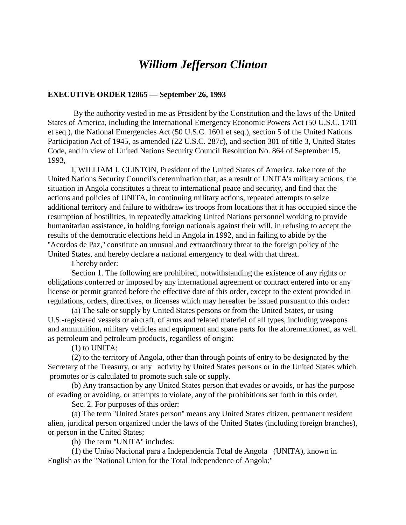# *William Jefferson Clinton*

#### **EXECUTIVE ORDER 12865 — September 26, 1993**

 By the authority vested in me as President by the Constitution and the laws of the United States of America, including the International Emergency Economic Powers Act (50 U.S.C. 1701 et seq.), the National Emergencies Act (50 U.S.C. 1601 et seq.), section 5 of the United Nations Participation Act of 1945, as amended (22 U.S.C. 287c), and section 301 of title 3, United States Code, and in view of United Nations Security Council Resolution No. 864 of September 15, 1993,

I, WILLIAM J. CLINTON, President of the United States of America, take note of the United Nations Security Council's determination that, as a result of UNITA's military actions, the situation in Angola constitutes a threat to international peace and security, and find that the actions and policies of UNITA, in continuing military actions, repeated attempts to seize additional territory and failure to withdraw its troops from locations that it has occupied since the resumption of hostilities, in repeatedly attacking United Nations personnel working to provide humanitarian assistance, in holding foreign nationals against their will, in refusing to accept the results of the democratic elections held in Angola in 1992, and in failing to abide by the ''Acordos de Paz,'' constitute an unusual and extraordinary threat to the foreign policy of the United States, and hereby declare a national emergency to deal with that threat.

I hereby order:

Section 1. The following are prohibited, notwithstanding the existence of any rights or obligations conferred or imposed by any international agreement or contract entered into or any license or permit granted before the effective date of this order, except to the extent provided in regulations, orders, directives, or licenses which may hereafter be issued pursuant to this order:

(a) The sale or supply by United States persons or from the United States, or using U.S.-registered vessels or aircraft, of arms and related materiel of all types, including weapons and ammunition, military vehicles and equipment and spare parts for the aforementioned, as well as petroleum and petroleum products, regardless of origin:

(1) to UNITA;

(2) to the territory of Angola, other than through points of entry to be designated by the Secretary of the Treasury, or any activity by United States persons or in the United States which promotes or is calculated to promote such sale or supply.

(b) Any transaction by any United States person that evades or avoids, or has the purpose of evading or avoiding, or attempts to violate, any of the prohibitions set forth in this order.

Sec. 2. For purposes of this order:

(a) The term ''United States person'' means any United States citizen, permanent resident alien, juridical person organized under the laws of the United States (including foreign branches), or person in the United States;

(b) The term ''UNITA'' includes:

(1) the Uniao Nacional para a Independencia Total de Angola (UNITA), known in English as the ''National Union for the Total Independence of Angola;''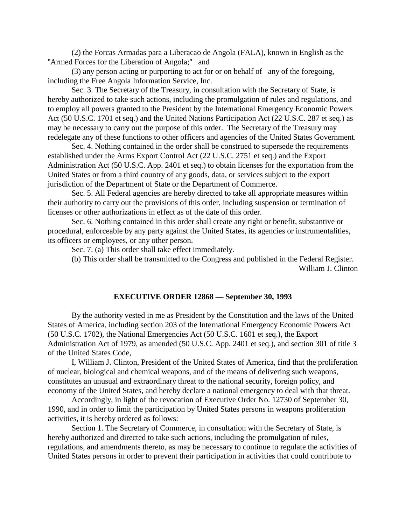(2) the Forcas Armadas para a Liberacao de Angola (FALA), known in English as the "Armed Forces for the Liberation of Angola;" and

(3) any person acting or purporting to act for or on behalf of any of the foregoing, including the Free Angola Information Service, Inc.

Sec. 3. The Secretary of the Treasury, in consultation with the Secretary of State, is hereby authorized to take such actions, including the promulgation of rules and regulations, and to employ all powers granted to the President by the International Emergency Economic Powers Act (50 U.S.C. 1701 et seq.) and the United Nations Participation Act (22 U.S.C. 287 et seq.) as may be necessary to carry out the purpose of this order. The Secretary of the Treasury may redelegate any of these functions to other officers and agencies of the United States Government.

Sec. 4. Nothing contained in the order shall be construed to supersede the requirements established under the Arms Export Control Act (22 U.S.C. 2751 et seq.) and the Export Administration Act (50 U.S.C. App. 2401 et seq.) to obtain licenses for the exportation from the United States or from a third country of any goods, data, or services subject to the export jurisdiction of the Department of State or the Department of Commerce.

Sec. 5. All Federal agencies are hereby directed to take all appropriate measures within their authority to carry out the provisions of this order, including suspension or termination of licenses or other authorizations in effect as of the date of this order.

Sec. 6. Nothing contained in this order shall create any right or benefit, substantive or procedural, enforceable by any party against the United States, its agencies or instrumentalities, its officers or employees, or any other person.

Sec. 7. (a) This order shall take effect immediately.

(b) This order shall be transmitted to the Congress and published in the Federal Register. William J. Clinton

## **EXECUTIVE ORDER 12868 — September 30, 1993**

By the authority vested in me as President by the Constitution and the laws of the United States of America, including section 203 of the International Emergency Economic Powers Act (50 U.S.C. 1702), the National Emergencies Act (50 U.S.C. 1601 et seq.), the Export Administration Act of 1979, as amended (50 U.S.C. App. 2401 et seq.), and section 301 of title 3 of the United States Code,

I, William J. Clinton, President of the United States of America, find that the proliferation of nuclear, biological and chemical weapons, and of the means of delivering such weapons, constitutes an unusual and extraordinary threat to the national security, foreign policy, and economy of the United States, and hereby declare a national emergency to deal with that threat.

Accordingly, in light of the revocation of Executive Order No. 12730 of September 30, 1990, and in order to limit the participation by United States persons in weapons proliferation activities, it is hereby ordered as follows:

Section 1. The Secretary of Commerce, in consultation with the Secretary of State, is hereby authorized and directed to take such actions, including the promulgation of rules, regulations, and amendments thereto, as may be necessary to continue to regulate the activities of United States persons in order to prevent their participation in activities that could contribute to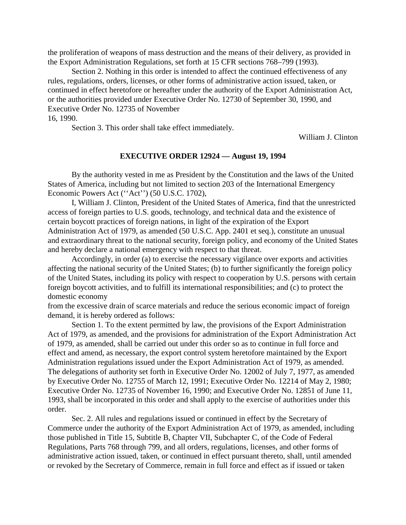the proliferation of weapons of mass destruction and the means of their delivery, as provided in the Export Administration Regulations, set forth at 15 CFR sections 768–799 (1993).

Section 2. Nothing in this order is intended to affect the continued effectiveness of any rules, regulations, orders, licenses, or other forms of administrative action issued, taken, or continued in effect heretofore or hereafter under the authority of the Export Administration Act, or the authorities provided under Executive Order No. 12730 of September 30, 1990, and Executive Order No. 12735 of November

16, 1990.

Section 3. This order shall take effect immediately.

William J. Clinton

#### **EXECUTIVE ORDER 12924 — August 19, 1994**

By the authority vested in me as President by the Constitution and the laws of the United States of America, including but not limited to section 203 of the International Emergency Economic Powers Act (''Act'') (50 U.S.C. 1702),

I, William J. Clinton, President of the United States of America, find that the unrestricted access of foreign parties to U.S. goods, technology, and technical data and the existence of certain boycott practices of foreign nations, in light of the expiration of the Export Administration Act of 1979, as amended (50 U.S.C. App. 2401 et seq.), constitute an unusual and extraordinary threat to the national security, foreign policy, and economy of the United States and hereby declare a national emergency with respect to that threat.

Accordingly, in order (a) to exercise the necessary vigilance over exports and activities affecting the national security of the United States; (b) to further significantly the foreign policy of the United States, including its policy with respect to cooperation by U.S. persons with certain foreign boycott activities, and to fulfill its international responsibilities; and (c) to protect the domestic economy

from the excessive drain of scarce materials and reduce the serious economic impact of foreign demand, it is hereby ordered as follows:

Section 1. To the extent permitted by law, the provisions of the Export Administration Act of 1979, as amended, and the provisions for administration of the Export Administration Act of 1979, as amended, shall be carried out under this order so as to continue in full force and effect and amend, as necessary, the export control system heretofore maintained by the Export Administration regulations issued under the Export Administration Act of 1979, as amended. The delegations of authority set forth in Executive Order No. 12002 of July 7, 1977, as amended by Executive Order No. 12755 of March 12, 1991; Executive Order No. 12214 of May 2, 1980; Executive Order No. 12735 of November 16, 1990; and Executive Order No. 12851 of June 11, 1993, shall be incorporated in this order and shall apply to the exercise of authorities under this order.

Sec. 2. All rules and regulations issued or continued in effect by the Secretary of Commerce under the authority of the Export Administration Act of 1979, as amended, including those published in Title 15, Subtitle B, Chapter VII, Subchapter C, of the Code of Federal Regulations, Parts 768 through 799, and all orders, regulations, licenses, and other forms of administrative action issued, taken, or continued in effect pursuant thereto, shall, until amended or revoked by the Secretary of Commerce, remain in full force and effect as if issued or taken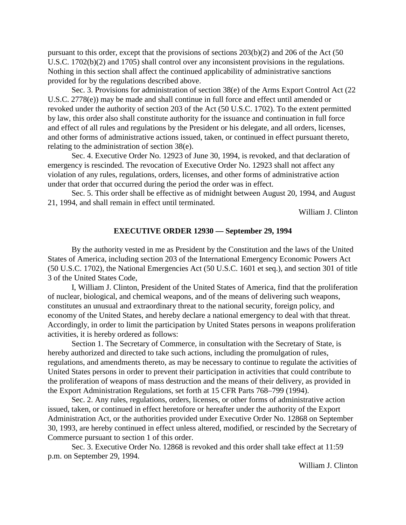pursuant to this order, except that the provisions of sections 203(b)(2) and 206 of the Act (50 U.S.C. 1702(b)(2) and 1705) shall control over any inconsistent provisions in the regulations. Nothing in this section shall affect the continued applicability of administrative sanctions provided for by the regulations described above.

Sec. 3. Provisions for administration of section 38(e) of the Arms Export Control Act (22 U.S.C. 2778(e)) may be made and shall continue in full force and effect until amended or revoked under the authority of section 203 of the Act (50 U.S.C. 1702). To the extent permitted by law, this order also shall constitute authority for the issuance and continuation in full force and effect of all rules and regulations by the President or his delegate, and all orders, licenses, and other forms of administrative actions issued, taken, or continued in effect pursuant thereto, relating to the administration of section 38(e).

Sec. 4. Executive Order No. 12923 of June 30, 1994, is revoked, and that declaration of emergency is rescinded. The revocation of Executive Order No. 12923 shall not affect any violation of any rules, regulations, orders, licenses, and other forms of administrative action under that order that occurred during the period the order was in effect.

Sec. 5. This order shall be effective as of midnight between August 20, 1994, and August 21, 1994, and shall remain in effect until terminated.

William J. Clinton

# **EXECUTIVE ORDER 12930 — September 29, 1994**

By the authority vested in me as President by the Constitution and the laws of the United States of America, including section 203 of the International Emergency Economic Powers Act (50 U.S.C. 1702), the National Emergencies Act (50 U.S.C. 1601 et seq.), and section 301 of title 3 of the United States Code,

I, William J. Clinton, President of the United States of America, find that the proliferation of nuclear, biological, and chemical weapons, and of the means of delivering such weapons, constitutes an unusual and extraordinary threat to the national security, foreign policy, and economy of the United States, and hereby declare a national emergency to deal with that threat. Accordingly, in order to limit the participation by United States persons in weapons proliferation activities, it is hereby ordered as follows:

Section 1. The Secretary of Commerce, in consultation with the Secretary of State, is hereby authorized and directed to take such actions, including the promulgation of rules, regulations, and amendments thereto, as may be necessary to continue to regulate the activities of United States persons in order to prevent their participation in activities that could contribute to the proliferation of weapons of mass destruction and the means of their delivery, as provided in the Export Administration Regulations, set forth at 15 CFR Parts 768–799 (1994).

Sec. 2. Any rules, regulations, orders, licenses, or other forms of administrative action issued, taken, or continued in effect heretofore or hereafter under the authority of the Export Administration Act, or the authorities provided under Executive Order No. 12868 on September 30, 1993, are hereby continued in effect unless altered, modified, or rescinded by the Secretary of Commerce pursuant to section 1 of this order.

Sec. 3. Executive Order No. 12868 is revoked and this order shall take effect at 11:59 p.m. on September 29, 1994.

William J. Clinton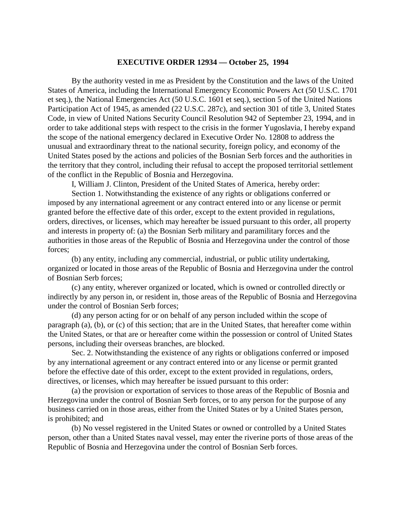## **EXECUTIVE ORDER 12934 — October 25, 1994**

By the authority vested in me as President by the Constitution and the laws of the United States of America, including the International Emergency Economic Powers Act (50 U.S.C. 1701 et seq.), the National Emergencies Act (50 U.S.C. 1601 et seq.), section 5 of the United Nations Participation Act of 1945, as amended (22 U.S.C. 287c), and section 301 of title 3, United States Code, in view of United Nations Security Council Resolution 942 of September 23, 1994, and in order to take additional steps with respect to the crisis in the former Yugoslavia, I hereby expand the scope of the national emergency declared in Executive Order No. 12808 to address the unusual and extraordinary threat to the national security, foreign policy, and economy of the United States posed by the actions and policies of the Bosnian Serb forces and the authorities in the territory that they control, including their refusal to accept the proposed territorial settlement of the conflict in the Republic of Bosnia and Herzegovina.

I, William J. Clinton, President of the United States of America, hereby order:

Section 1. Notwithstanding the existence of any rights or obligations conferred or imposed by any international agreement or any contract entered into or any license or permit granted before the effective date of this order, except to the extent provided in regulations, orders, directives, or licenses, which may hereafter be issued pursuant to this order, all property and interests in property of: (a) the Bosnian Serb military and paramilitary forces and the authorities in those areas of the Republic of Bosnia and Herzegovina under the control of those forces;

(b) any entity, including any commercial, industrial, or public utility undertaking, organized or located in those areas of the Republic of Bosnia and Herzegovina under the control of Bosnian Serb forces;

(c) any entity, wherever organized or located, which is owned or controlled directly or indirectly by any person in, or resident in, those areas of the Republic of Bosnia and Herzegovina under the control of Bosnian Serb forces;

(d) any person acting for or on behalf of any person included within the scope of paragraph (a), (b), or (c) of this section; that are in the United States, that hereafter come within the United States, or that are or hereafter come within the possession or control of United States persons, including their overseas branches, are blocked.

Sec. 2. Notwithstanding the existence of any rights or obligations conferred or imposed by any international agreement or any contract entered into or any license or permit granted before the effective date of this order, except to the extent provided in regulations, orders, directives, or licenses, which may hereafter be issued pursuant to this order:

(a) the provision or exportation of services to those areas of the Republic of Bosnia and Herzegovina under the control of Bosnian Serb forces, or to any person for the purpose of any business carried on in those areas, either from the United States or by a United States person, is prohibited; and

(b) No vessel registered in the United States or owned or controlled by a United States person, other than a United States naval vessel, may enter the riverine ports of those areas of the Republic of Bosnia and Herzegovina under the control of Bosnian Serb forces.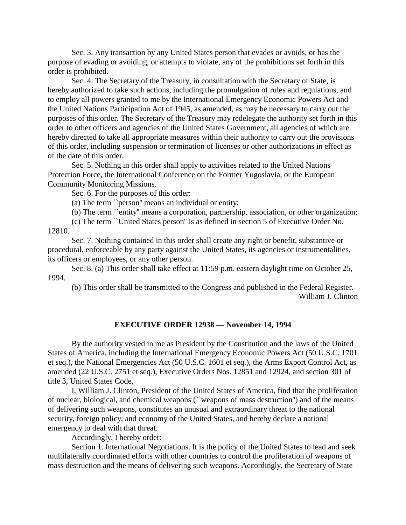Sec. 3. Any transaction by any United States person that evades or avoids, or has the purpose of evading or avoiding, or attempts to violate, any of the prohibitions set forth in this order is prohibited.

Sec. 4. The Secretary of the Treasury, in consultation with the Secretary of State, is hereby authorized to take such actions, including the promulgation of rules and regulations, and to employ all powers granted to me by the International Emergency Economic Powers Act and the United Nations Participation Act of 1945, as amended, as may be necessary to carry out the purposes of this order. The Secretary of the Treasury may redelegate the authority set forth in this order to other officers and agencies of the United States Government, all agencies of which are hereby directed to take all appropriate measures within their authority to carry out the provisions of this order, including suspension or termination of licenses or other authorizations in effect as of the date of this order.

Sec. 5. Nothing in this order shall apply to activities related to the United Nations Protection Force, the International Conference on the Former Yugoslavia, or the European Community Monitoring Missions.

Sec. 6. For the purposes of this order:

(a) The term ``person'' means an individual or entity;

(b) The term ``entity'' means a corporation, partnership, association, or other organization;

(c) The term ``United States person'' is as defined in section 5 of Executive Order No. 12810.

Sec. 7. Nothing contained in this order shall create any right or benefit, substantive or procedural, enforceable by any party against the United States, its agencies or instrumentalities, its officers or employees, or any other person.

Sec. 8. (a) This order shall take effect at 11:59 p.m. eastern daylight time on October 25, 1994.

(b) This order shall be transmitted to the Congress and published in the Federal Register. William J. Clinton

#### **EXECUTIVE ORDER 12938 — November 14, 1994**

By the authority vested in me as President by the Constitution and the laws of the United States of America, including the International Emergency Economic Powers Act (50 U.S.C. 1701 et seq.), the National Emergencies Act (50 U.S.C. 1601 et seq.), the Arms Export Control Act, as amended (22 U.S.C. 2751 et seq.), Executive Orders Nos. 12851 and 12924, and section 301 of title 3, United States Code,

I, William J. Clinton, President of the United States of America, find that the proliferation of nuclear, biological, and chemical weapons (``weapons of mass destruction'') and of the means of delivering such weapons, constitutes an unusual and extraordinary threat to the national security, foreign policy, and economy of the United States, and hereby declare a national emergency to deal with that threat.

Accordingly, I hereby order:

Section 1. International Negotiations. It is the policy of the United States to lead and seek multilaterally coordinated efforts with other countries to control the proliferation of weapons of mass destruction and the means of delivering such weapons. Accordingly, the Secretary of State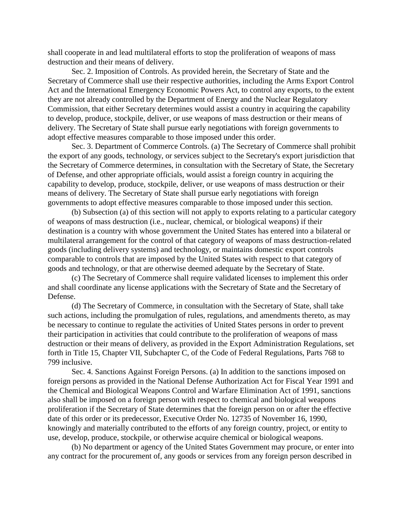shall cooperate in and lead multilateral efforts to stop the proliferation of weapons of mass destruction and their means of delivery.

Sec. 2. Imposition of Controls. As provided herein, the Secretary of State and the Secretary of Commerce shall use their respective authorities, including the Arms Export Control Act and the International Emergency Economic Powers Act, to control any exports, to the extent they are not already controlled by the Department of Energy and the Nuclear Regulatory Commission, that either Secretary determines would assist a country in acquiring the capability to develop, produce, stockpile, deliver, or use weapons of mass destruction or their means of delivery. The Secretary of State shall pursue early negotiations with foreign governments to adopt effective measures comparable to those imposed under this order.

Sec. 3. Department of Commerce Controls. (a) The Secretary of Commerce shall prohibit the export of any goods, technology, or services subject to the Secretary's export jurisdiction that the Secretary of Commerce determines, in consultation with the Secretary of State, the Secretary of Defense, and other appropriate officials, would assist a foreign country in acquiring the capability to develop, produce, stockpile, deliver, or use weapons of mass destruction or their means of delivery. The Secretary of State shall pursue early negotiations with foreign governments to adopt effective measures comparable to those imposed under this section.

(b) Subsection (a) of this section will not apply to exports relating to a particular category of weapons of mass destruction (i.e., nuclear, chemical, or biological weapons) if their destination is a country with whose government the United States has entered into a bilateral or multilateral arrangement for the control of that category of weapons of mass destruction-related goods (including delivery systems) and technology, or maintains domestic export controls comparable to controls that are imposed by the United States with respect to that category of goods and technology, or that are otherwise deemed adequate by the Secretary of State.

(c) The Secretary of Commerce shall require validated licenses to implement this order and shall coordinate any license applications with the Secretary of State and the Secretary of Defense.

(d) The Secretary of Commerce, in consultation with the Secretary of State, shall take such actions, including the promulgation of rules, regulations, and amendments thereto, as may be necessary to continue to regulate the activities of United States persons in order to prevent their participation in activities that could contribute to the proliferation of weapons of mass destruction or their means of delivery, as provided in the Export Administration Regulations, set forth in Title 15, Chapter VII, Subchapter C, of the Code of Federal Regulations, Parts 768 to 799 inclusive.

Sec. 4. Sanctions Against Foreign Persons. (a) In addition to the sanctions imposed on foreign persons as provided in the National Defense Authorization Act for Fiscal Year 1991 and the Chemical and Biological Weapons Control and Warfare Elimination Act of 1991, sanctions also shall be imposed on a foreign person with respect to chemical and biological weapons proliferation if the Secretary of State determines that the foreign person on or after the effective date of this order or its predecessor, Executive Order No. 12735 of November 16, 1990, knowingly and materially contributed to the efforts of any foreign country, project, or entity to use, develop, produce, stockpile, or otherwise acquire chemical or biological weapons.

(b) No department or agency of the United States Government may procure, or enter into any contract for the procurement of, any goods or services from any foreign person described in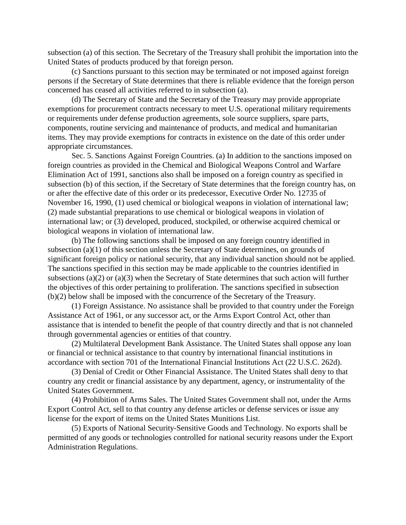subsection (a) of this section. The Secretary of the Treasury shall prohibit the importation into the United States of products produced by that foreign person.

(c) Sanctions pursuant to this section may be terminated or not imposed against foreign persons if the Secretary of State determines that there is reliable evidence that the foreign person concerned has ceased all activities referred to in subsection (a).

(d) The Secretary of State and the Secretary of the Treasury may provide appropriate exemptions for procurement contracts necessary to meet U.S. operational military requirements or requirements under defense production agreements, sole source suppliers, spare parts, components, routine servicing and maintenance of products, and medical and humanitarian items. They may provide exemptions for contracts in existence on the date of this order under appropriate circumstances.

Sec. 5. Sanctions Against Foreign Countries. (a) In addition to the sanctions imposed on foreign countries as provided in the Chemical and Biological Weapons Control and Warfare Elimination Act of 1991, sanctions also shall be imposed on a foreign country as specified in subsection (b) of this section, if the Secretary of State determines that the foreign country has, on or after the effective date of this order or its predecessor, Executive Order No. 12735 of November 16, 1990, (1) used chemical or biological weapons in violation of international law; (2) made substantial preparations to use chemical or biological weapons in violation of international law; or (3) developed, produced, stockpiled, or otherwise acquired chemical or biological weapons in violation of international law.

(b) The following sanctions shall be imposed on any foreign country identified in subsection (a)(1) of this section unless the Secretary of State determines, on grounds of significant foreign policy or national security, that any individual sanction should not be applied. The sanctions specified in this section may be made applicable to the countries identified in subsections (a)(2) or (a)(3) when the Secretary of State determines that such action will further the objectives of this order pertaining to proliferation. The sanctions specified in subsection (b)(2) below shall be imposed with the concurrence of the Secretary of the Treasury.

(1) Foreign Assistance. No assistance shall be provided to that country under the Foreign Assistance Act of 1961, or any successor act, or the Arms Export Control Act, other than assistance that is intended to benefit the people of that country directly and that is not channeled through governmental agencies or entities of that country.

(2) Multilateral Development Bank Assistance. The United States shall oppose any loan or financial or technical assistance to that country by international financial institutions in accordance with section 701 of the International Financial Institutions Act (22 U.S.C. 262d).

(3) Denial of Credit or Other Financial Assistance. The United States shall deny to that country any credit or financial assistance by any department, agency, or instrumentality of the United States Government.

(4) Prohibition of Arms Sales. The United States Government shall not, under the Arms Export Control Act, sell to that country any defense articles or defense services or issue any license for the export of items on the United States Munitions List.

(5) Exports of National Security-Sensitive Goods and Technology. No exports shall be permitted of any goods or technologies controlled for national security reasons under the Export Administration Regulations.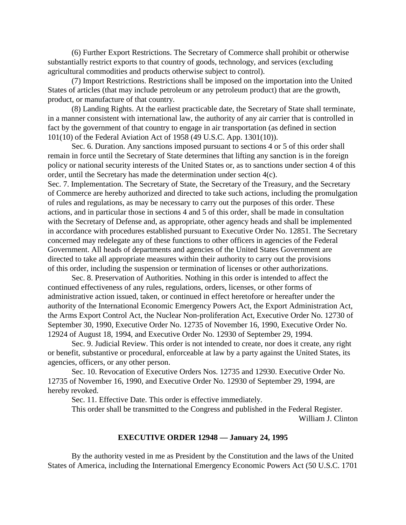(6) Further Export Restrictions. The Secretary of Commerce shall prohibit or otherwise substantially restrict exports to that country of goods, technology, and services (excluding agricultural commodities and products otherwise subject to control).

(7) Import Restrictions. Restrictions shall be imposed on the importation into the United States of articles (that may include petroleum or any petroleum product) that are the growth, product, or manufacture of that country.

(8) Landing Rights. At the earliest practicable date, the Secretary of State shall terminate, in a manner consistent with international law, the authority of any air carrier that is controlled in fact by the government of that country to engage in air transportation (as defined in section 101(10) of the Federal Aviation Act of 1958 (49 U.S.C. App. 1301(10)).

Sec. 6. Duration. Any sanctions imposed pursuant to sections 4 or 5 of this order shall remain in force until the Secretary of State determines that lifting any sanction is in the foreign policy or national security interests of the United States or, as to sanctions under section 4 of this order, until the Secretary has made the determination under section 4(c).

Sec. 7. Implementation. The Secretary of State, the Secretary of the Treasury, and the Secretary of Commerce are hereby authorized and directed to take such actions, including the promulgation of rules and regulations, as may be necessary to carry out the purposes of this order. These actions, and in particular those in sections 4 and 5 of this order, shall be made in consultation with the Secretary of Defense and, as appropriate, other agency heads and shall be implemented in accordance with procedures established pursuant to Executive Order No. 12851. The Secretary concerned may redelegate any of these functions to other officers in agencies of the Federal Government. All heads of departments and agencies of the United States Government are directed to take all appropriate measures within their authority to carry out the provisions of this order, including the suspension or termination of licenses or other authorizations.

Sec. 8. Preservation of Authorities. Nothing in this order is intended to affect the continued effectiveness of any rules, regulations, orders, licenses, or other forms of administrative action issued, taken, or continued in effect heretofore or hereafter under the authority of the International Economic Emergency Powers Act, the Export Administration Act, the Arms Export Control Act, the Nuclear Non-proliferation Act, Executive Order No. 12730 of September 30, 1990, Executive Order No. 12735 of November 16, 1990, Executive Order No. 12924 of August 18, 1994, and Executive Order No. 12930 of September 29, 1994.

Sec. 9. Judicial Review. This order is not intended to create, nor does it create, any right or benefit, substantive or procedural, enforceable at law by a party against the United States, its agencies, officers, or any other person.

Sec. 10. Revocation of Executive Orders Nos. 12735 and 12930. Executive Order No. 12735 of November 16, 1990, and Executive Order No. 12930 of September 29, 1994, are hereby revoked.

Sec. 11. Effective Date. This order is effective immediately.

This order shall be transmitted to the Congress and published in the Federal Register. William J. Clinton

# **EXECUTIVE ORDER 12948 — January 24, 1995**

By the authority vested in me as President by the Constitution and the laws of the United States of America, including the International Emergency Economic Powers Act (50 U.S.C. 1701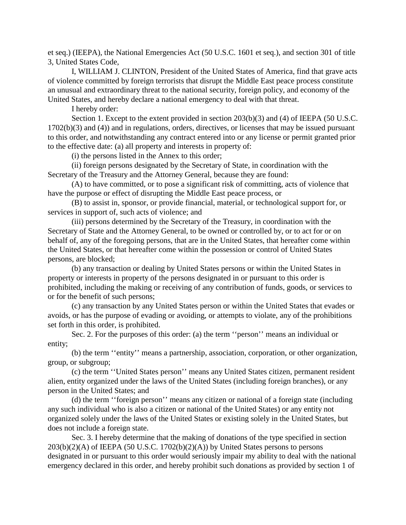et seq.) (IEEPA), the National Emergencies Act (50 U.S.C. 1601 et seq.), and section 301 of title 3, United States Code,

I, WILLIAM J. CLINTON, President of the United States of America, find that grave acts of violence committed by foreign terrorists that disrupt the Middle East peace process constitute an unusual and extraordinary threat to the national security, foreign policy, and economy of the United States, and hereby declare a national emergency to deal with that threat.

I hereby order:

Section 1. Except to the extent provided in section 203(b)(3) and (4) of IEEPA (50 U.S.C. 1702(b)(3) and (4)) and in regulations, orders, directives, or licenses that may be issued pursuant to this order, and notwithstanding any contract entered into or any license or permit granted prior to the effective date: (a) all property and interests in property of:

(i) the persons listed in the Annex to this order;

(ii) foreign persons designated by the Secretary of State, in coordination with the Secretary of the Treasury and the Attorney General, because they are found:

(A) to have committed, or to pose a significant risk of committing, acts of violence that have the purpose or effect of disrupting the Middle East peace process, or

(B) to assist in, sponsor, or provide financial, material, or technological support for, or services in support of, such acts of violence; and

(iii) persons determined by the Secretary of the Treasury, in coordination with the Secretary of State and the Attorney General, to be owned or controlled by, or to act for or on behalf of, any of the foregoing persons, that are in the United States, that hereafter come within the United States, or that hereafter come within the possession or control of United States persons, are blocked;

(b) any transaction or dealing by United States persons or within the United States in property or interests in property of the persons designated in or pursuant to this order is prohibited, including the making or receiving of any contribution of funds, goods, or services to or for the benefit of such persons;

(c) any transaction by any United States person or within the United States that evades or avoids, or has the purpose of evading or avoiding, or attempts to violate, any of the prohibitions set forth in this order, is prohibited.

Sec. 2. For the purposes of this order: (a) the term ''person'' means an individual or entity;

(b) the term ''entity'' means a partnership, association, corporation, or other organization, group, or subgroup;

(c) the term ''United States person'' means any United States citizen, permanent resident alien, entity organized under the laws of the United States (including foreign branches), or any person in the United States; and

(d) the term ''foreign person'' means any citizen or national of a foreign state (including any such individual who is also a citizen or national of the United States) or any entity not organized solely under the laws of the United States or existing solely in the United States, but does not include a foreign state.

Sec. 3. I hereby determine that the making of donations of the type specified in section  $203(b)(2)(A)$  of IEEPA (50 U.S.C. 1702(b)(2)(A)) by United States persons to persons designated in or pursuant to this order would seriously impair my ability to deal with the national emergency declared in this order, and hereby prohibit such donations as provided by section 1 of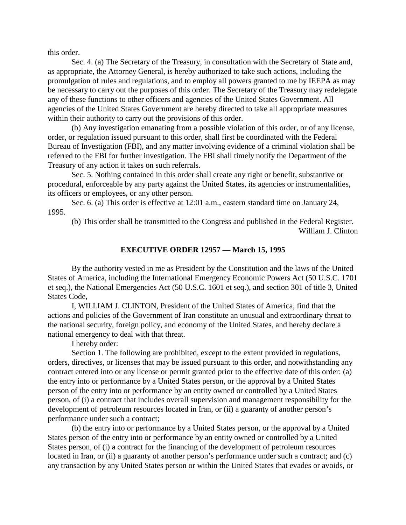this order.

Sec. 4. (a) The Secretary of the Treasury, in consultation with the Secretary of State and, as appropriate, the Attorney General, is hereby authorized to take such actions, including the promulgation of rules and regulations, and to employ all powers granted to me by IEEPA as may be necessary to carry out the purposes of this order. The Secretary of the Treasury may redelegate any of these functions to other officers and agencies of the United States Government. All agencies of the United States Government are hereby directed to take all appropriate measures within their authority to carry out the provisions of this order.

(b) Any investigation emanating from a possible violation of this order, or of any license, order, or regulation issued pursuant to this order, shall first be coordinated with the Federal Bureau of Investigation (FBI), and any matter involving evidence of a criminal violation shall be referred to the FBI for further investigation. The FBI shall timely notify the Department of the Treasury of any action it takes on such referrals.

Sec. 5. Nothing contained in this order shall create any right or benefit, substantive or procedural, enforceable by any party against the United States, its agencies or instrumentalities, its officers or employees, or any other person.

Sec. 6. (a) This order is effective at 12:01 a.m., eastern standard time on January 24, 1995.

(b) This order shall be transmitted to the Congress and published in the Federal Register. William J. Clinton

#### **EXECUTIVE ORDER 12957 — March 15, 1995**

By the authority vested in me as President by the Constitution and the laws of the United States of America, including the International Emergency Economic Powers Act (50 U.S.C. 1701 et seq.), the National Emergencies Act (50 U.S.C. 1601 et seq.), and section 301 of title 3, United States Code,

I, WILLIAM J. CLINTON, President of the United States of America, find that the actions and policies of the Government of Iran constitute an unusual and extraordinary threat to the national security, foreign policy, and economy of the United States, and hereby declare a national emergency to deal with that threat.

I hereby order:

Section 1. The following are prohibited, except to the extent provided in regulations, orders, directives, or licenses that may be issued pursuant to this order, and notwithstanding any contract entered into or any license or permit granted prior to the effective date of this order: (a) the entry into or performance by a United States person, or the approval by a United States person of the entry into or performance by an entity owned or controlled by a United States person, of (i) a contract that includes overall supervision and management responsibility for the development of petroleum resources located in Iran, or (ii) a guaranty of another person's performance under such a contract;

(b) the entry into or performance by a United States person, or the approval by a United States person of the entry into or performance by an entity owned or controlled by a United States person, of (i) a contract for the financing of the development of petroleum resources located in Iran, or (ii) a guaranty of another person's performance under such a contract; and (c) any transaction by any United States person or within the United States that evades or avoids, or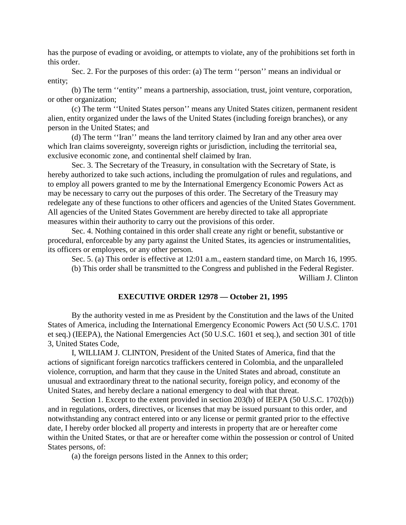has the purpose of evading or avoiding, or attempts to violate, any of the prohibitions set forth in this order.

Sec. 2. For the purposes of this order: (a) The term ''person'' means an individual or entity;

(b) The term ''entity'' means a partnership, association, trust, joint venture, corporation, or other organization;

(c) The term ''United States person'' means any United States citizen, permanent resident alien, entity organized under the laws of the United States (including foreign branches), or any person in the United States; and

(d) The term ''Iran'' means the land territory claimed by Iran and any other area over which Iran claims sovereignty, sovereign rights or jurisdiction, including the territorial sea, exclusive economic zone, and continental shelf claimed by Iran.

Sec. 3. The Secretary of the Treasury, in consultation with the Secretary of State, is hereby authorized to take such actions, including the promulgation of rules and regulations, and to employ all powers granted to me by the International Emergency Economic Powers Act as may be necessary to carry out the purposes of this order. The Secretary of the Treasury may redelegate any of these functions to other officers and agencies of the United States Government. All agencies of the United States Government are hereby directed to take all appropriate measures within their authority to carry out the provisions of this order.

Sec. 4. Nothing contained in this order shall create any right or benefit, substantive or procedural, enforceable by any party against the United States, its agencies or instrumentalities, its officers or employees, or any other person.

Sec. 5. (a) This order is effective at 12:01 a.m., eastern standard time, on March 16, 1995.

(b) This order shall be transmitted to the Congress and published in the Federal Register. William J. Clinton

#### **EXECUTIVE ORDER 12978 — October 21, 1995**

By the authority vested in me as President by the Constitution and the laws of the United States of America, including the International Emergency Economic Powers Act (50 U.S.C. 1701 et seq.) (IEEPA), the National Emergencies Act (50 U.S.C. 1601 et seq.), and section 301 of title 3, United States Code,

I, WILLIAM J. CLINTON, President of the United States of America, find that the actions of significant foreign narcotics traffickers centered in Colombia, and the unparalleled violence, corruption, and harm that they cause in the United States and abroad, constitute an unusual and extraordinary threat to the national security, foreign policy, and economy of the United States, and hereby declare a national emergency to deal with that threat.

Section 1. Except to the extent provided in section 203(b) of IEEPA (50 U.S.C. 1702(b)) and in regulations, orders, directives, or licenses that may be issued pursuant to this order, and notwithstanding any contract entered into or any license or permit granted prior to the effective date, I hereby order blocked all property and interests in property that are or hereafter come within the United States, or that are or hereafter come within the possession or control of United States persons, of:

(a) the foreign persons listed in the Annex to this order;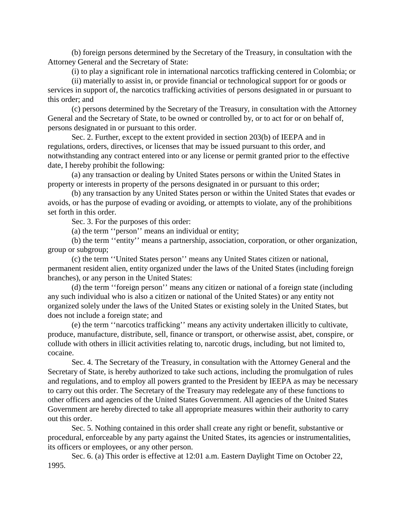(b) foreign persons determined by the Secretary of the Treasury, in consultation with the Attorney General and the Secretary of State:

(i) to play a significant role in international narcotics trafficking centered in Colombia; or

(ii) materially to assist in, or provide financial or technological support for or goods or services in support of, the narcotics trafficking activities of persons designated in or pursuant to this order; and

(c) persons determined by the Secretary of the Treasury, in consultation with the Attorney General and the Secretary of State, to be owned or controlled by, or to act for or on behalf of, persons designated in or pursuant to this order.

Sec. 2. Further, except to the extent provided in section 203(b) of IEEPA and in regulations, orders, directives, or licenses that may be issued pursuant to this order, and notwithstanding any contract entered into or any license or permit granted prior to the effective date, I hereby prohibit the following:

(a) any transaction or dealing by United States persons or within the United States in property or interests in property of the persons designated in or pursuant to this order;

(b) any transaction by any United States person or within the United States that evades or avoids, or has the purpose of evading or avoiding, or attempts to violate, any of the prohibitions set forth in this order.

Sec. 3. For the purposes of this order:

(a) the term ''person'' means an individual or entity;

(b) the term ''entity'' means a partnership, association, corporation, or other organization, group or subgroup;

(c) the term ''United States person'' means any United States citizen or national, permanent resident alien, entity organized under the laws of the United States (including foreign branches), or any person in the United States:

(d) the term ''foreign person'' means any citizen or national of a foreign state (including any such individual who is also a citizen or national of the United States) or any entity not organized solely under the laws of the United States or existing solely in the United States, but does not include a foreign state; and

(e) the term ''narcotics trafficking'' means any activity undertaken illicitly to cultivate, produce, manufacture, distribute, sell, finance or transport, or otherwise assist, abet, conspire, or collude with others in illicit activities relating to, narcotic drugs, including, but not limited to, cocaine.

Sec. 4. The Secretary of the Treasury, in consultation with the Attorney General and the Secretary of State, is hereby authorized to take such actions, including the promulgation of rules and regulations, and to employ all powers granted to the President by IEEPA as may be necessary to carry out this order. The Secretary of the Treasury may redelegate any of these functions to other officers and agencies of the United States Government. All agencies of the United States Government are hereby directed to take all appropriate measures within their authority to carry out this order.

Sec. 5. Nothing contained in this order shall create any right or benefit, substantive or procedural, enforceable by any party against the United States, its agencies or instrumentalities, its officers or employees, or any other person.

Sec. 6. (a) This order is effective at 12:01 a.m. Eastern Daylight Time on October 22, 1995.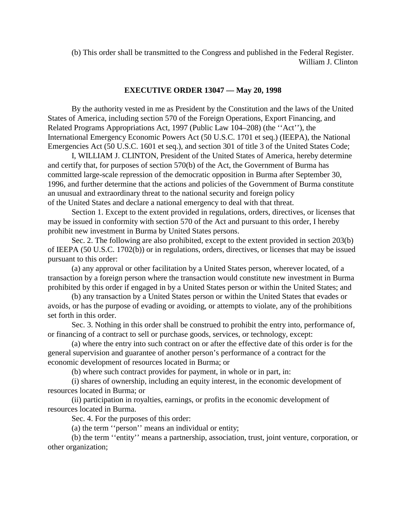(b) This order shall be transmitted to the Congress and published in the Federal Register. William J. Clinton

# **EXECUTIVE ORDER 13047 — May 20, 1998**

By the authority vested in me as President by the Constitution and the laws of the United States of America, including section 570 of the Foreign Operations, Export Financing, and Related Programs Appropriations Act, 1997 (Public Law 104–208) (the ''Act''), the International Emergency Economic Powers Act (50 U.S.C. 1701 et seq.) (IEEPA), the National Emergencies Act (50 U.S.C. 1601 et seq.), and section 301 of title 3 of the United States Code;

I, WILLIAM J. CLINTON, President of the United States of America, hereby determine and certify that, for purposes of section 570(b) of the Act, the Government of Burma has committed large-scale repression of the democratic opposition in Burma after September 30, 1996, and further determine that the actions and policies of the Government of Burma constitute an unusual and extraordinary threat to the national security and foreign policy of the United States and declare a national emergency to deal with that threat.

Section 1. Except to the extent provided in regulations, orders, directives, or licenses that may be issued in conformity with section 570 of the Act and pursuant to this order, I hereby prohibit new investment in Burma by United States persons.

Sec. 2. The following are also prohibited, except to the extent provided in section 203(b) of IEEPA (50 U.S.C. 1702(b)) or in regulations, orders, directives, or licenses that may be issued pursuant to this order:

(a) any approval or other facilitation by a United States person, wherever located, of a transaction by a foreign person where the transaction would constitute new investment in Burma prohibited by this order if engaged in by a United States person or within the United States; and

(b) any transaction by a United States person or within the United States that evades or avoids, or has the purpose of evading or avoiding, or attempts to violate, any of the prohibitions set forth in this order.

Sec. 3. Nothing in this order shall be construed to prohibit the entry into, performance of, or financing of a contract to sell or purchase goods, services, or technology, except:

(a) where the entry into such contract on or after the effective date of this order is for the general supervision and guarantee of another person's performance of a contract for the economic development of resources located in Burma; or

(b) where such contract provides for payment, in whole or in part, in:

(i) shares of ownership, including an equity interest, in the economic development of resources located in Burma; or

(ii) participation in royalties, earnings, or profits in the economic development of resources located in Burma.

Sec. 4. For the purposes of this order:

(a) the term ''person'' means an individual or entity;

(b) the term ''entity'' means a partnership, association, trust, joint venture, corporation, or other organization;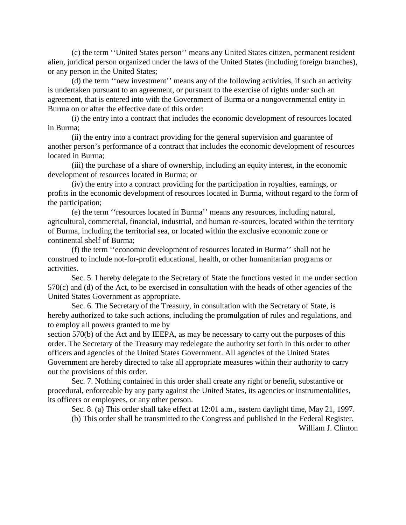(c) the term ''United States person'' means any United States citizen, permanent resident alien, juridical person organized under the laws of the United States (including foreign branches), or any person in the United States;

(d) the term ''new investment'' means any of the following activities, if such an activity is undertaken pursuant to an agreement, or pursuant to the exercise of rights under such an agreement, that is entered into with the Government of Burma or a nongovernmental entity in Burma on or after the effective date of this order:

(i) the entry into a contract that includes the economic development of resources located in Burma;

(ii) the entry into a contract providing for the general supervision and guarantee of another person's performance of a contract that includes the economic development of resources located in Burma;

(iii) the purchase of a share of ownership, including an equity interest, in the economic development of resources located in Burma; or

(iv) the entry into a contract providing for the participation in royalties, earnings, or profits in the economic development of resources located in Burma, without regard to the form of the participation;

(e) the term ''resources located in Burma'' means any resources, including natural, agricultural, commercial, financial, industrial, and human re-sources, located within the territory of Burma, including the territorial sea, or located within the exclusive economic zone or continental shelf of Burma;

(f) the term ''economic development of resources located in Burma'' shall not be construed to include not-for-profit educational, health, or other humanitarian programs or activities.

Sec. 5. I hereby delegate to the Secretary of State the functions vested in me under section 570(c) and (d) of the Act, to be exercised in consultation with the heads of other agencies of the United States Government as appropriate.

Sec. 6. The Secretary of the Treasury, in consultation with the Secretary of State, is hereby authorized to take such actions, including the promulgation of rules and regulations, and to employ all powers granted to me by

section 570(b) of the Act and by IEEPA, as may be necessary to carry out the purposes of this order. The Secretary of the Treasury may redelegate the authority set forth in this order to other officers and agencies of the United States Government. All agencies of the United States Government are hereby directed to take all appropriate measures within their authority to carry out the provisions of this order.

Sec. 7. Nothing contained in this order shall create any right or benefit, substantive or procedural, enforceable by any party against the United States, its agencies or instrumentalities, its officers or employees, or any other person.

Sec. 8. (a) This order shall take effect at 12:01 a.m., eastern daylight time, May 21, 1997.

(b) This order shall be transmitted to the Congress and published in the Federal Register.

William J. Clinton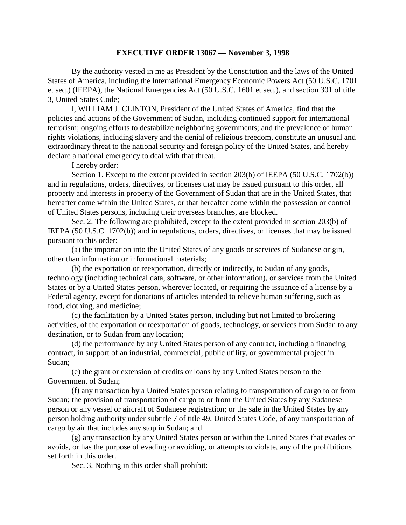## **EXECUTIVE ORDER 13067 — November 3, 1998**

By the authority vested in me as President by the Constitution and the laws of the United States of America, including the International Emergency Economic Powers Act (50 U.S.C. 1701 et seq.) (IEEPA), the National Emergencies Act (50 U.S.C. 1601 et seq.), and section 301 of title 3, United States Code;

I, WILLIAM J. CLINTON, President of the United States of America, find that the policies and actions of the Government of Sudan, including continued support for international terrorism; ongoing efforts to destabilize neighboring governments; and the prevalence of human rights violations, including slavery and the denial of religious freedom, constitute an unusual and extraordinary threat to the national security and foreign policy of the United States, and hereby declare a national emergency to deal with that threat.

I hereby order:

Section 1. Except to the extent provided in section 203(b) of IEEPA (50 U.S.C. 1702(b)) and in regulations, orders, directives, or licenses that may be issued pursuant to this order, all property and interests in property of the Government of Sudan that are in the United States, that hereafter come within the United States, or that hereafter come within the possession or control of United States persons, including their overseas branches, are blocked.

Sec. 2. The following are prohibited, except to the extent provided in section 203(b) of IEEPA (50 U.S.C. 1702(b)) and in regulations, orders, directives, or licenses that may be issued pursuant to this order:

(a) the importation into the United States of any goods or services of Sudanese origin, other than information or informational materials;

(b) the exportation or reexportation, directly or indirectly, to Sudan of any goods, technology (including technical data, software, or other information), or services from the United States or by a United States person, wherever located, or requiring the issuance of a license by a Federal agency, except for donations of articles intended to relieve human suffering, such as food, clothing, and medicine;

(c) the facilitation by a United States person, including but not limited to brokering activities, of the exportation or reexportation of goods, technology, or services from Sudan to any destination, or to Sudan from any location;

(d) the performance by any United States person of any contract, including a financing contract, in support of an industrial, commercial, public utility, or governmental project in Sudan;

(e) the grant or extension of credits or loans by any United States person to the Government of Sudan;

(f) any transaction by a United States person relating to transportation of cargo to or from Sudan; the provision of transportation of cargo to or from the United States by any Sudanese person or any vessel or aircraft of Sudanese registration; or the sale in the United States by any person holding authority under subtitle 7 of title 49, United States Code, of any transportation of cargo by air that includes any stop in Sudan; and

(g) any transaction by any United States person or within the United States that evades or avoids, or has the purpose of evading or avoiding, or attempts to violate, any of the prohibitions set forth in this order.

Sec. 3. Nothing in this order shall prohibit: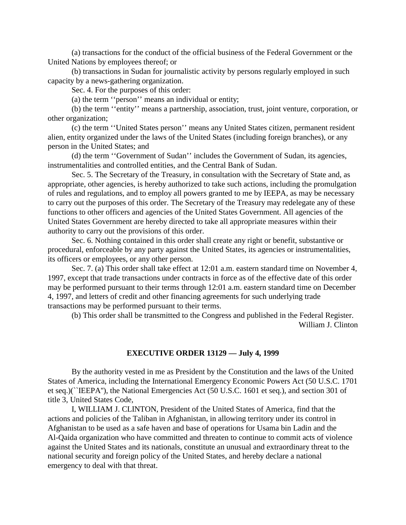(a) transactions for the conduct of the official business of the Federal Government or the United Nations by employees thereof; or

(b) transactions in Sudan for journalistic activity by persons regularly employed in such capacity by a news-gathering organization.

Sec. 4. For the purposes of this order:

(a) the term ''person'' means an individual or entity;

(b) the term ''entity'' means a partnership, association, trust, joint venture, corporation, or other organization;

(c) the term ''United States person'' means any United States citizen, permanent resident alien, entity organized under the laws of the United States (including foreign branches), or any person in the United States; and

(d) the term ''Government of Sudan'' includes the Government of Sudan, its agencies, instrumentalities and controlled entities, and the Central Bank of Sudan.

Sec. 5. The Secretary of the Treasury, in consultation with the Secretary of State and, as appropriate, other agencies, is hereby authorized to take such actions, including the promulgation of rules and regulations, and to employ all powers granted to me by IEEPA, as may be necessary to carry out the purposes of this order. The Secretary of the Treasury may redelegate any of these functions to other officers and agencies of the United States Government. All agencies of the United States Government are hereby directed to take all appropriate measures within their authority to carry out the provisions of this order.

Sec. 6. Nothing contained in this order shall create any right or benefit, substantive or procedural, enforceable by any party against the United States, its agencies or instrumentalities, its officers or employees, or any other person.

Sec. 7. (a) This order shall take effect at 12:01 a.m. eastern standard time on November 4, 1997, except that trade transactions under contracts in force as of the effective date of this order may be performed pursuant to their terms through 12:01 a.m. eastern standard time on December 4, 1997, and letters of credit and other financing agreements for such underlying trade transactions may be performed pursuant to their terms.

(b) This order shall be transmitted to the Congress and published in the Federal Register. William J. Clinton

# **EXECUTIVE ORDER 13129 — July 4, 1999**

By the authority vested in me as President by the Constitution and the laws of the United States of America, including the International Emergency Economic Powers Act (50 U.S.C. 1701 et seq.)(``IEEPA''), the National Emergencies Act (50 U.S.C. 1601 et seq.), and section 301 of title 3, United States Code,

I, WILLIAM J. CLINTON, President of the United States of America, find that the actions and policies of the Taliban in Afghanistan, in allowing territory under its control in Afghanistan to be used as a safe haven and base of operations for Usama bin Ladin and the Al-Qaida organization who have committed and threaten to continue to commit acts of violence against the United States and its nationals, constitute an unusual and extraordinary threat to the national security and foreign policy of the United States, and hereby declare a national emergency to deal with that threat.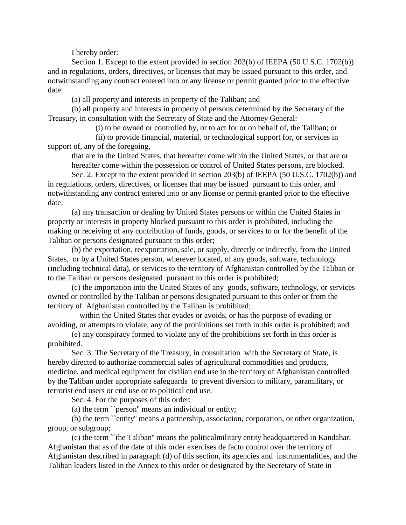I hereby order:

Section 1. Except to the extent provided in section 203(b) of IEEPA (50 U.S.C. 1702(b)) and in regulations, orders, directives, or licenses that may be issued pursuant to this order, and notwithstanding any contract entered into or any license or permit granted prior to the effective date:

(a) all property and interests in property of the Taliban; and

(b) all property and interests in property of persons determined by the Secretary of the Treasury, in consultation with the Secretary of State and the Attorney General:

(i) to be owned or controlled by, or to act for or on behalf of, the Taliban; or

(ii) to provide financial, material, or technological support for, or services in support of, any of the foregoing,

that are in the United States, that hereafter come within the United States, or that are or hereafter come within the possession or control of United States persons, are blocked.

Sec. 2. Except to the extent provided in section 203(b) of IEEPA (50 U.S.C. 1702(b)) and in regulations, orders, directives, or licenses that may be issued pursuant to this order, and notwithstanding any contract entered into or any license or permit granted prior to the effective date:

(a) any transaction or dealing by United States persons or within the United States in property or interests in property blocked pursuant to this order is prohibited, including the making or receiving of any contribution of funds, goods, or services to or for the benefit of the Taliban or persons designated pursuant to this order;

(b) the exportation, reexportation, sale, or supply, directly or indirectly, from the United States, or by a United States person, wherever located, of any goods, software, technology (including technical data), or services to the territory of Afghanistan controlled by the Taliban or to the Taliban or persons designated pursuant to this order is prohibited;

(c) the importation into the United States of any goods, software, technology, or services owned or controlled by the Taliban or persons designated pursuant to this order or from the territory of Afghanistan controlled by the Taliban is prohibited;

 within the United States that evades or avoids, or has the purpose of evading or avoiding, or attempts to violate, any of the prohibitions set forth in this order is prohibited; and

(e) any conspiracy formed to violate any of the prohibitions set forth in this order is prohibited.

Sec. 3. The Secretary of the Treasury, in consultation with the Secretary of State, is hereby directed to authorize commercial sales of agricultural commodities and products, medicine, and medical equipment for civilian end use in the territory of Afghanistan controlled by the Taliban under appropriate safeguards to prevent diversion to military, paramilitary, or terrorist end users or end use or to political end use.

Sec. 4. For the purposes of this order:

(a) the term ``person'' means an individual or entity;

(b) the term ``entity'' means a partnership, association, corporation, or other organization, group, or subgroup;

(c) the term ``the Taliban'' means the politicalmilitary entity headquartered in Kandahar, Afghanistan that as of the date of this order exercises de facto control over the territory of Afghanistan described in paragraph (d) of this section, its agencies and instrumentalities, and the Taliban leaders listed in the Annex to this order or designated by the Secretary of State in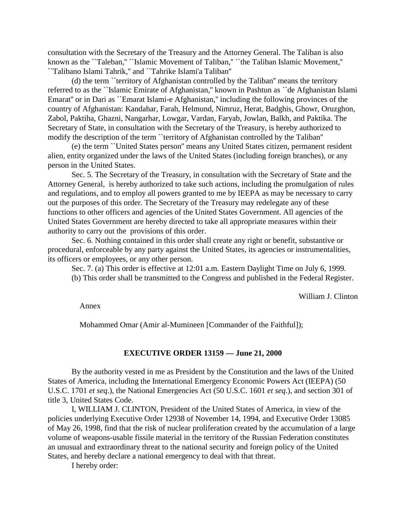consultation with the Secretary of the Treasury and the Attorney General. The Taliban is also known as the ``Taleban,'' ``Islamic Movement of Taliban,'' ``the Taliban Islamic Movement,'' ``Talibano Islami Tahrik,'' and ``Tahrike Islami'a Taliban''

(d) the term ``territory of Afghanistan controlled by the Taliban'' means the territory referred to as the ``Islamic Emirate of Afghanistan,'' known in Pashtun as ``de Afghanistan Islami Emarat'' or in Dari as ``Emarat Islami-e Afghanistan,'' including the following provinces of the country of Afghanistan: Kandahar, Farah, Helmund, Nimruz, Herat, Badghis, Ghowr, Oruzghon, Zabol, Paktiha, Ghazni, Nangarhar, Lowgar, Vardan, Faryab, Jowlan, Balkh, and Paktika. The Secretary of State, in consultation with the Secretary of the Treasury, is hereby authorized to modify the description of the term ``territory of Afghanistan controlled by the Taliban''

(e) the term ``United States person'' means any United States citizen, permanent resident alien, entity organized under the laws of the United States (including foreign branches), or any person in the United States.

Sec. 5. The Secretary of the Treasury, in consultation with the Secretary of State and the Attorney General, is hereby authorized to take such actions, including the promulgation of rules and regulations, and to employ all powers granted to me by IEEPA as may be necessary to carry out the purposes of this order. The Secretary of the Treasury may redelegate any of these functions to other officers and agencies of the United States Government. All agencies of the United States Government are hereby directed to take all appropriate measures within their authority to carry out the provisions of this order.

Sec. 6. Nothing contained in this order shall create any right or benefit, substantive or procedural, enforceable by any party against the United States, its agencies or instrumentalities, its officers or employees, or any other person.

Sec. 7. (a) This order is effective at 12:01 a.m. Eastern Daylight Time on July 6, 1999. (b) This order shall be transmitted to the Congress and published in the Federal Register.

William J. Clinton

Annex

Mohammed Omar (Amir al-Mumineen [Commander of the Faithful]);

#### **EXECUTIVE ORDER 13159 — June 21, 2000**

By the authority vested in me as President by the Constitution and the laws of the United States of America, including the International Emergency Economic Powers Act (IEEPA) (50 U.S.C. 1701 *et seq*.), the National Emergencies Act (50 U.S.C. 1601 *et seq*.), and section 301 of title 3, United States Code.

I, WILLIAM J. CLINTON, President of the United States of America, in view of the policies underlying Executive Order 12938 of November 14, 1994, and Executive Order 13085 of May 26, 1998, find that the risk of nuclear proliferation created by the accumulation of a large volume of weapons-usable fissile material in the territory of the Russian Federation constitutes an unusual and extraordinary threat to the national security and foreign policy of the United States, and hereby declare a national emergency to deal with that threat.

I hereby order: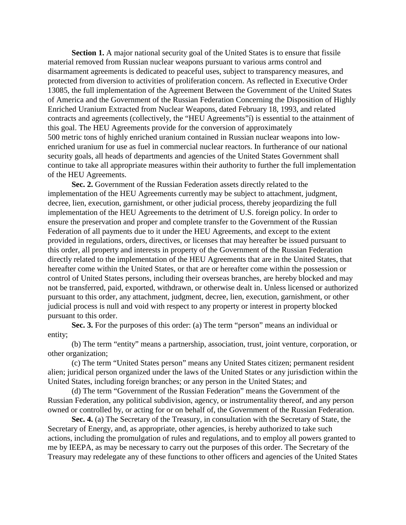**Section 1.** A major national security goal of the United States is to ensure that fissile material removed from Russian nuclear weapons pursuant to various arms control and disarmament agreements is dedicated to peaceful uses, subject to transparency measures, and protected from diversion to activities of proliferation concern. As reflected in Executive Order 13085, the full implementation of the Agreement Between the Government of the United States of America and the Government of the Russian Federation Concerning the Disposition of Highly Enriched Uranium Extracted from Nuclear Weapons, dated February 18, 1993, and related contracts and agreements (collectively, the "HEU Agreements"í) is essential to the attainment of this goal. The HEU Agreements provide for the conversion of approximately 500 metric tons of highly enriched uranium contained in Russian nuclear weapons into lowenriched uranium for use as fuel in commercial nuclear reactors. In furtherance of our national security goals, all heads of departments and agencies of the United States Government shall continue to take all appropriate measures within their authority to further the full implementation of the HEU Agreements.

**Sec. 2.** Government of the Russian Federation assets directly related to the implementation of the HEU Agreements currently may be subject to attachment, judgment, decree, lien, execution, garnishment, or other judicial process, thereby jeopardizing the full implementation of the HEU Agreements to the detriment of U.S. foreign policy. In order to ensure the preservation and proper and complete transfer to the Government of the Russian Federation of all payments due to it under the HEU Agreements, and except to the extent provided in regulations, orders, directives, or licenses that may hereafter be issued pursuant to this order, all property and interests in property of the Government of the Russian Federation directly related to the implementation of the HEU Agreements that are in the United States, that hereafter come within the United States, or that are or hereafter come within the possession or control of United States persons, including their overseas branches, are hereby blocked and may not be transferred, paid, exported, withdrawn, or otherwise dealt in. Unless licensed or authorized pursuant to this order, any attachment, judgment, decree, lien, execution, garnishment, or other judicial process is null and void with respect to any property or interest in property blocked pursuant to this order.

**Sec. 3.** For the purposes of this order: (a) The term "person" means an individual or entity;

(b) The term "entity" means a partnership, association, trust, joint venture, corporation, or other organization;

(c) The term "United States person" means any United States citizen; permanent resident alien; juridical person organized under the laws of the United States or any jurisdiction within the United States, including foreign branches; or any person in the United States; and

(d) The term "Government of the Russian Federation" means the Government of the Russian Federation, any political subdivision, agency, or instrumentality thereof, and any person owned or controlled by, or acting for or on behalf of, the Government of the Russian Federation.

**Sec. 4.** (a) The Secretary of the Treasury, in consultation with the Secretary of State, the Secretary of Energy, and, as appropriate, other agencies, is hereby authorized to take such actions, including the promulgation of rules and regulations, and to employ all powers granted to me by IEEPA, as may be necessary to carry out the purposes of this order. The Secretary of the Treasury may redelegate any of these functions to other officers and agencies of the United States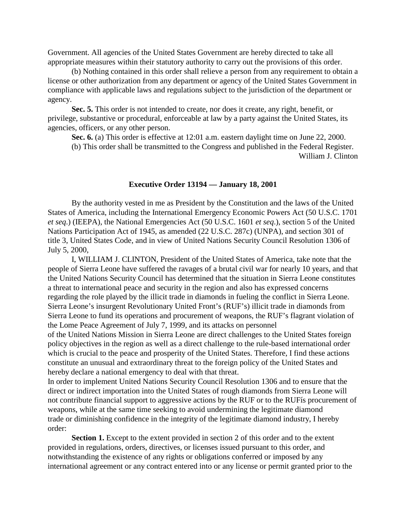Government. All agencies of the United States Government are hereby directed to take all appropriate measures within their statutory authority to carry out the provisions of this order.

(b) Nothing contained in this order shall relieve a person from any requirement to obtain a license or other authorization from any department or agency of the United States Government in compliance with applicable laws and regulations subject to the jurisdiction of the department or agency.

**Sec. 5.** This order is not intended to create, nor does it create, any right, benefit, or privilege, substantive or procedural, enforceable at law by a party against the United States, its agencies, officers, or any other person.

Sec. 6. (a) This order is effective at 12:01 a.m. eastern daylight time on June 22, 2000.

(b) This order shall be transmitted to the Congress and published in the Federal Register. William J. Clinton

#### **Executive Order 13194 — January 18, 2001**

By the authority vested in me as President by the Constitution and the laws of the United States of America, including the International Emergency Economic Powers Act (50 U.S.C. 1701 *et seq*.) (IEEPA), the National Emergencies Act (50 U.S.C. 1601 *et seq*.), section 5 of the United Nations Participation Act of 1945, as amended (22 U.S.C. 287c) (UNPA), and section 301 of title 3, United States Code, and in view of United Nations Security Council Resolution 1306 of July 5, 2000,

I, WILLIAM J. CLINTON, President of the United States of America, take note that the people of Sierra Leone have suffered the ravages of a brutal civil war for nearly 10 years, and that the United Nations Security Council has determined that the situation in Sierra Leone constitutes a threat to international peace and security in the region and also has expressed concerns regarding the role played by the illicit trade in diamonds in fueling the conflict in Sierra Leone. Sierra Leone's insurgent Revolutionary United Front's (RUF's) illicit trade in diamonds from Sierra Leone to fund its operations and procurement of weapons, the RUF's flagrant violation of the Lome Peace Agreement of July 7, 1999, and its attacks on personnel

of the United Nations Mission in Sierra Leone are direct challenges to the United States foreign policy objectives in the region as well as a direct challenge to the rule-based international order which is crucial to the peace and prosperity of the United States. Therefore, I find these actions constitute an unusual and extraordinary threat to the foreign policy of the United States and hereby declare a national emergency to deal with that threat.

In order to implement United Nations Security Council Resolution 1306 and to ensure that the direct or indirect importation into the United States of rough diamonds from Sierra Leone will not contribute financial support to aggressive actions by the RUF or to the RUFís procurement of weapons, while at the same time seeking to avoid undermining the legitimate diamond trade or diminishing confidence in the integrity of the legitimate diamond industry, I hereby order:

**Section 1.** Except to the extent provided in section 2 of this order and to the extent provided in regulations, orders, directives, or licenses issued pursuant to this order, and notwithstanding the existence of any rights or obligations conferred or imposed by any international agreement or any contract entered into or any license or permit granted prior to the